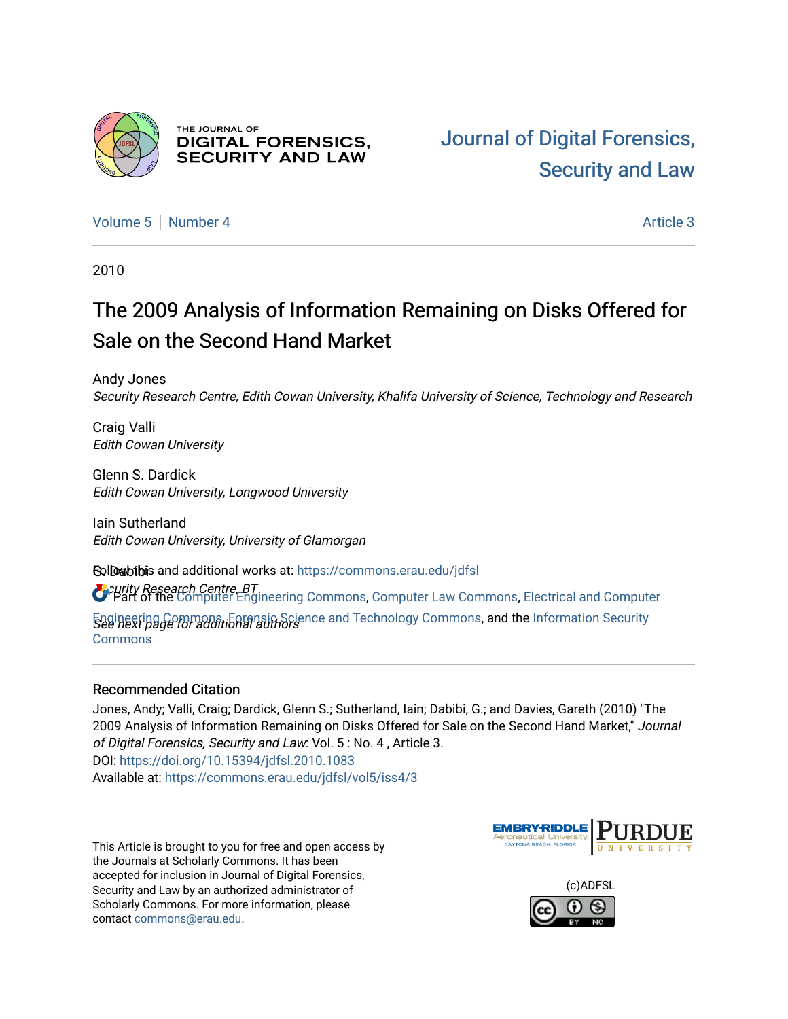

THE JOURNAL OF **DIGITAL FORENSICS, SECURITY AND LAW** 

[Volume 5](https://commons.erau.edu/jdfsl/vol5) [Number 4](https://commons.erau.edu/jdfsl/vol5/iss4) Article 3

2010

# The 2009 Analysis of Information Remaining on Disks Offered for Sale on the Second Hand Market

Andy Jones Security Research Centre, Edith Cowan University, Khalifa University of Science, Technology and Research

Craig Valli Edith Cowan University

Glenn S. Dardick Edith Cowan University, Longwood University

Iain Sutherland Edith Cowan University, University of Glamorgan

**EolDabibis and additional works at**: [https://commons.erau.edu/jdfsl](https://commons.erau.edu/jdfsl?utm_source=commons.erau.edu%2Fjdfsl%2Fvol5%2Fiss4%2F3&utm_medium=PDF&utm_campaign=PDFCoverPages)  $G$  purity Research Centre, BT<br>Part of the [Computer Engineering Commons,](http://network.bepress.com/hgg/discipline/258?utm_source=commons.erau.edu%2Fjdfsl%2Fvol5%2Fiss4%2F3&utm_medium=PDF&utm_campaign=PDFCoverPages) [Computer Law Commons,](http://network.bepress.com/hgg/discipline/837?utm_source=commons.erau.edu%2Fjdfsl%2Fvol5%2Fiss4%2F3&utm_medium=PDF&utm_campaign=PDFCoverPages) [Electrical and Computer](http://network.bepress.com/hgg/discipline/266?utm_source=commons.erau.edu%2Fjdfsl%2Fvol5%2Fiss4%2F3&utm_medium=PDF&utm_campaign=PDFCoverPages)

[Engineering Commons,](http://network.bepress.com/hgg/discipline/266?utm_source=commons.erau.edu%2Fjdfsl%2Fvol5%2Fiss4%2F3&utm_medium=PDF&utm_campaign=PDFCoverPages) Eorensic Science and Technology Commons, and the [Information Security](http://network.bepress.com/hgg/discipline/1247?utm_source=commons.erau.edu%2Fjdfsl%2Fvol5%2Fiss4%2F3&utm_medium=PDF&utm_campaign=PDFCoverPages) **[Commons](http://network.bepress.com/hgg/discipline/1247?utm_source=commons.erau.edu%2Fjdfsl%2Fvol5%2Fiss4%2F3&utm_medium=PDF&utm_campaign=PDFCoverPages)** 

# Recommended Citation

Jones, Andy; Valli, Craig; Dardick, Glenn S.; Sutherland, Iain; Dabibi, G.; and Davies, Gareth (2010) "The 2009 Analysis of Information Remaining on Disks Offered for Sale on the Second Hand Market," Journal of Digital Forensics, Security and Law: Vol. 5 : No. 4 , Article 3. DOI:<https://doi.org/10.15394/jdfsl.2010.1083> Available at: [https://commons.erau.edu/jdfsl/vol5/iss4/3](https://commons.erau.edu/jdfsl/vol5/iss4/3?utm_source=commons.erau.edu%2Fjdfsl%2Fvol5%2Fiss4%2F3&utm_medium=PDF&utm_campaign=PDFCoverPages) 

This Article is brought to you for free and open access by the Journals at Scholarly Commons. It has been accepted for inclusion in Journal of Digital Forensics, Security and Law by an authorized administrator of Scholarly Commons. For more information, please contact [commons@erau.edu.](mailto:commons@erau.edu)



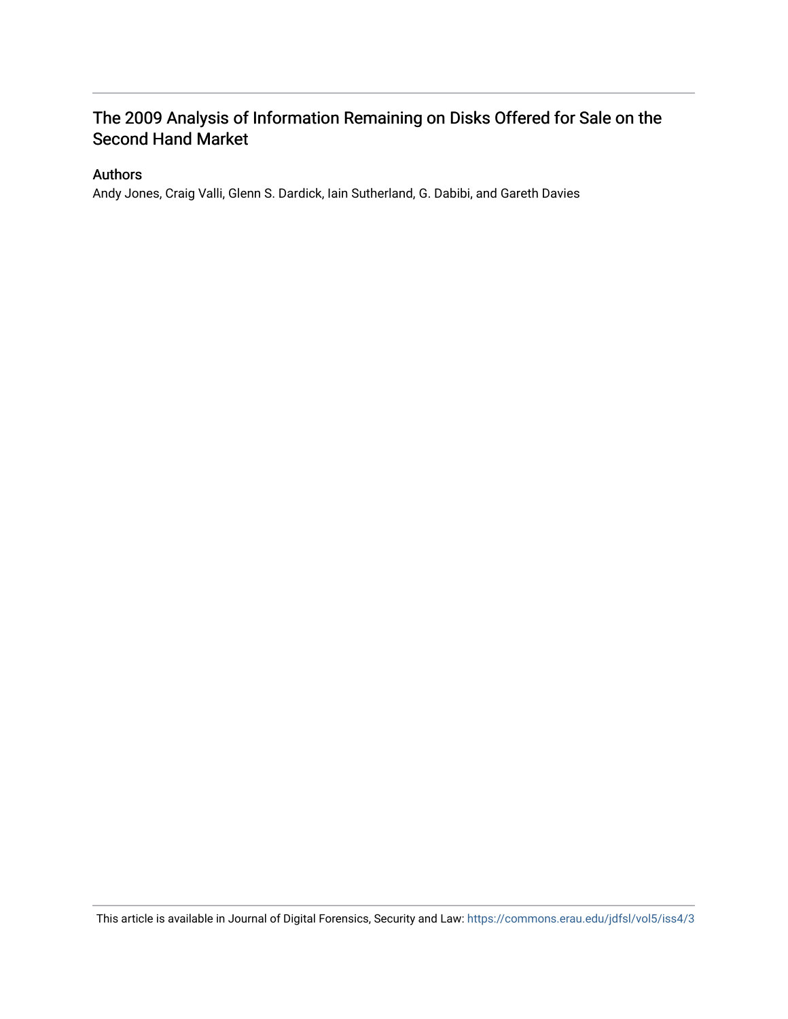# The 2009 Analysis of Information Remaining on Disks Offered for Sale on the Second Hand Market

# Authors

Andy Jones, Craig Valli, Glenn S. Dardick, Iain Sutherland, G. Dabibi, and Gareth Davies

This article is available in Journal of Digital Forensics, Security and Law:<https://commons.erau.edu/jdfsl/vol5/iss4/3>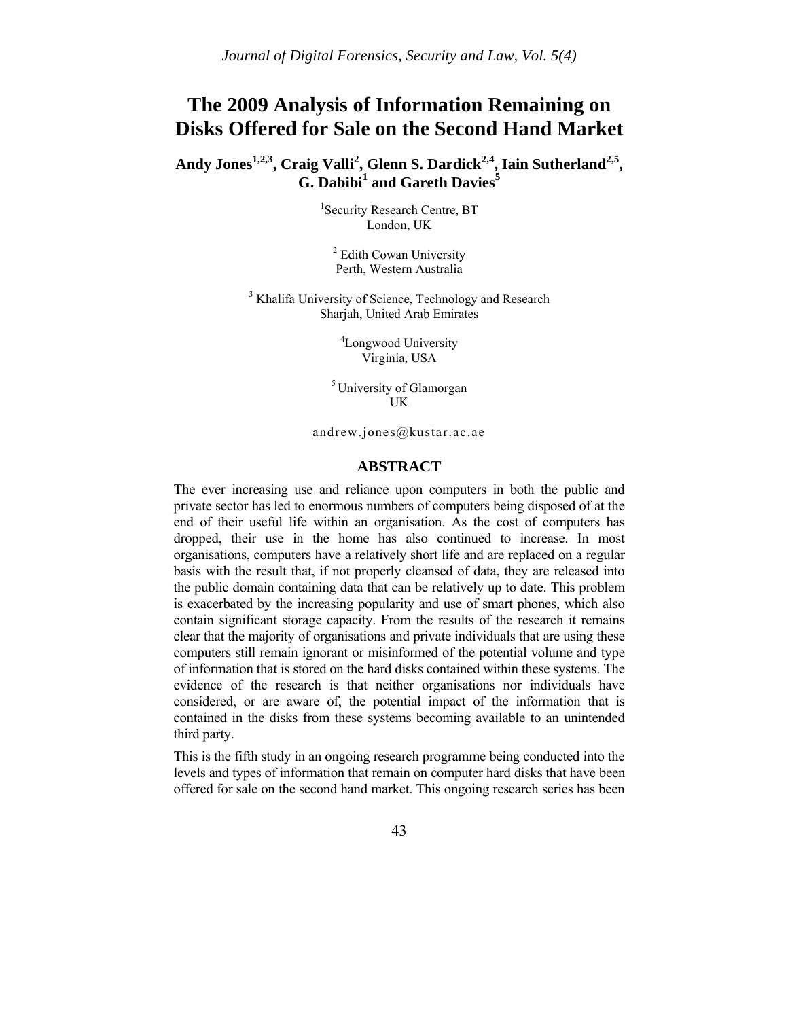# **The 2009 Analysis of Information Remaining on Disks Offered for Sale on the Second Hand Market**

Andy Jones<sup>1,2,3</sup>, Craig Valli<sup>2</sup>, Glenn S. Dardick<sup>2,4</sup>, Iain Sutherland<sup>2,5</sup>, **G. Dabibi<sup>1</sup> and Gareth Davies<sup>5</sup>**

> <sup>1</sup>Security Research Centre, BT London, UK

<sup>2</sup> Edith Cowan University Perth, Western Australia

<sup>3</sup> Khalifa University of Science, Technology and Research Sharjah, United Arab Emirates

> 4 Longwood University Virginia, USA

5 University of Glamorgan UK

andrew.jones@kustar.ac.ae

#### **ABSTRACT**

The ever increasing use and reliance upon computers in both the public and private sector has led to enormous numbers of computers being disposed of at the end of their useful life within an organisation. As the cost of computers has dropped, their use in the home has also continued to increase. In most organisations, computers have a relatively short life and are replaced on a regular basis with the result that, if not properly cleansed of data, they are released into the public domain containing data that can be relatively up to date. This problem is exacerbated by the increasing popularity and use of smart phones, which also contain significant storage capacity. From the results of the research it remains clear that the majority of organisations and private individuals that are using these computers still remain ignorant or misinformed of the potential volume and type of information that is stored on the hard disks contained within these systems. The evidence of the research is that neither organisations nor individuals have considered, or are aware of, the potential impact of the information that is contained in the disks from these systems becoming available to an unintended third party.

This is the fifth study in an ongoing research programme being conducted into the levels and types of information that remain on computer hard disks that have been offered for sale on the second hand market. This ongoing research series has been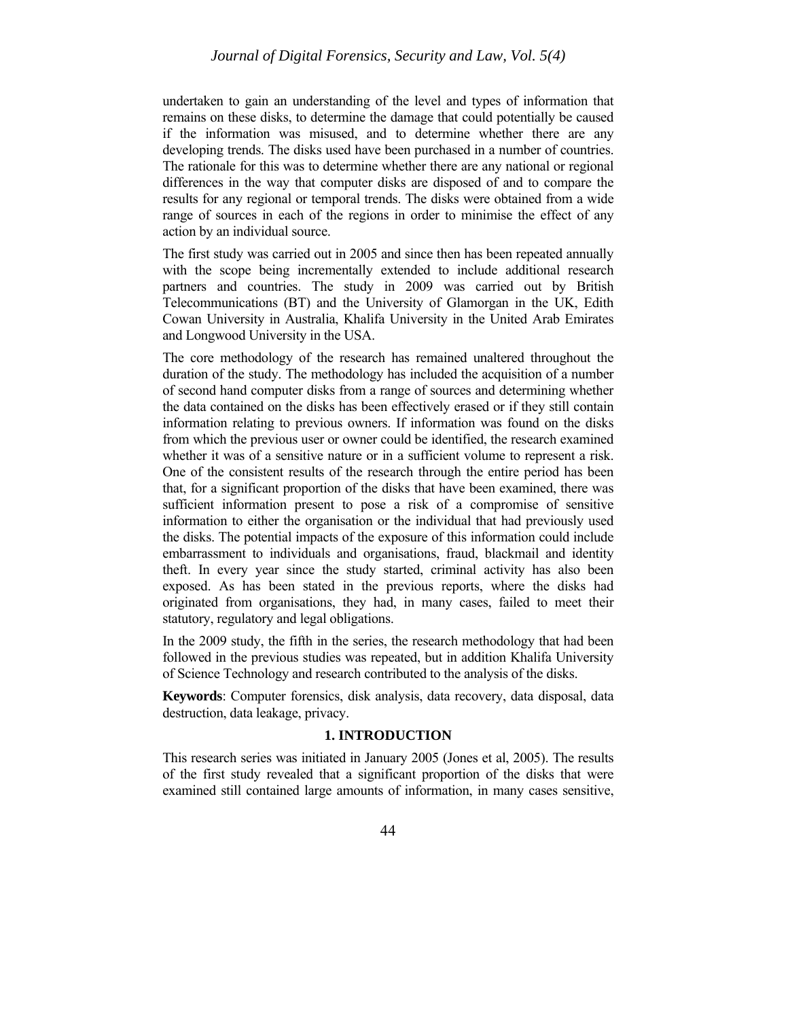undertaken to gain an understanding of the level and types of information that remains on these disks, to determine the damage that could potentially be caused if the information was misused, and to determine whether there are any developing trends. The disks used have been purchased in a number of countries. The rationale for this was to determine whether there are any national or regional differences in the way that computer disks are disposed of and to compare the results for any regional or temporal trends. The disks were obtained from a wide range of sources in each of the regions in order to minimise the effect of any action by an individual source.

The first study was carried out in 2005 and since then has been repeated annually with the scope being incrementally extended to include additional research partners and countries. The study in 2009 was carried out by British Telecommunications (BT) and the University of Glamorgan in the UK, Edith Cowan University in Australia, Khalifa University in the United Arab Emirates and Longwood University in the USA.

The core methodology of the research has remained unaltered throughout the duration of the study. The methodology has included the acquisition of a number of second hand computer disks from a range of sources and determining whether the data contained on the disks has been effectively erased or if they still contain information relating to previous owners. If information was found on the disks from which the previous user or owner could be identified, the research examined whether it was of a sensitive nature or in a sufficient volume to represent a risk. One of the consistent results of the research through the entire period has been that, for a significant proportion of the disks that have been examined, there was sufficient information present to pose a risk of a compromise of sensitive information to either the organisation or the individual that had previously used the disks. The potential impacts of the exposure of this information could include embarrassment to individuals and organisations, fraud, blackmail and identity theft. In every year since the study started, criminal activity has also been exposed. As has been stated in the previous reports, where the disks had originated from organisations, they had, in many cases, failed to meet their statutory, regulatory and legal obligations.

In the 2009 study, the fifth in the series, the research methodology that had been followed in the previous studies was repeated, but in addition Khalifa University of Science Technology and research contributed to the analysis of the disks.

**Keywords**: Computer forensics, disk analysis, data recovery, data disposal, data destruction, data leakage, privacy.

## **1. INTRODUCTION**

This research series was initiated in January 2005 (Jones et al, 2005). The results of the first study revealed that a significant proportion of the disks that were examined still contained large amounts of information, in many cases sensitive,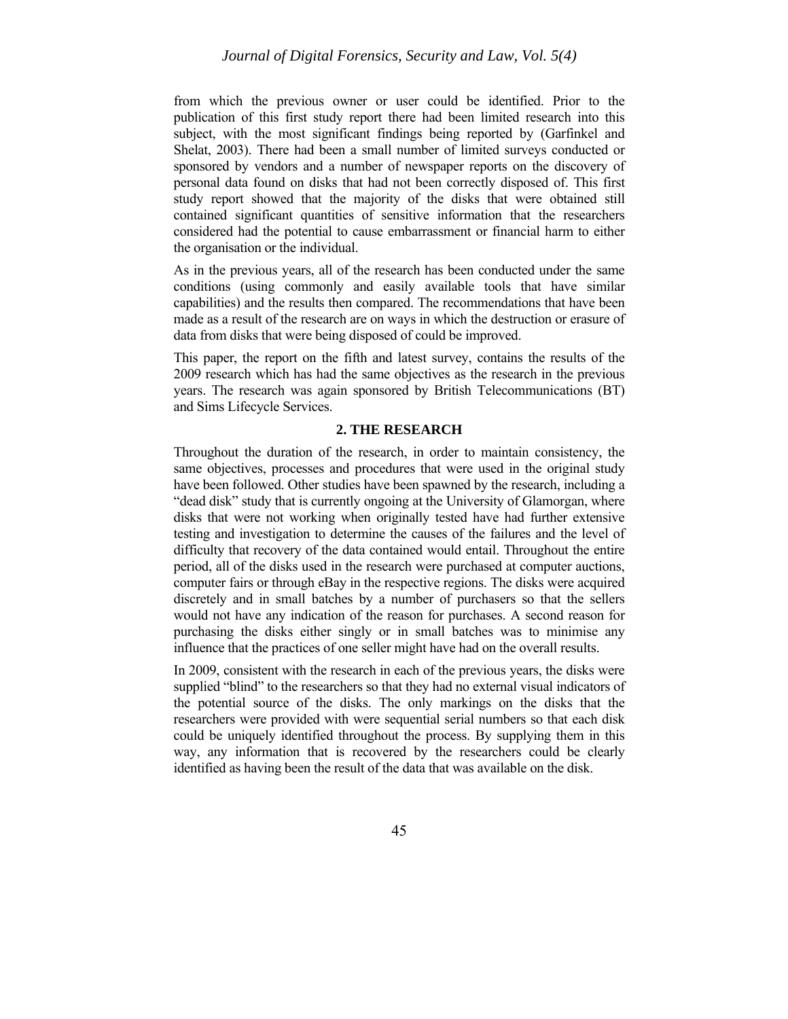from which the previous owner or user could be identified. Prior to the publication of this first study report there had been limited research into this subject, with the most significant findings being reported by (Garfinkel and Shelat, 2003). There had been a small number of limited surveys conducted or sponsored by vendors and a number of newspaper reports on the discovery of personal data found on disks that had not been correctly disposed of. This first study report showed that the majority of the disks that were obtained still contained significant quantities of sensitive information that the researchers considered had the potential to cause embarrassment or financial harm to either the organisation or the individual.

As in the previous years, all of the research has been conducted under the same conditions (using commonly and easily available tools that have similar capabilities) and the results then compared. The recommendations that have been made as a result of the research are on ways in which the destruction or erasure of data from disks that were being disposed of could be improved.

This paper, the report on the fifth and latest survey, contains the results of the 2009 research which has had the same objectives as the research in the previous years. The research was again sponsored by British Telecommunications (BT) and Sims Lifecycle Services.

#### **2. THE RESEARCH**

Throughout the duration of the research, in order to maintain consistency, the same objectives, processes and procedures that were used in the original study have been followed. Other studies have been spawned by the research, including a "dead disk" study that is currently ongoing at the University of Glamorgan, where disks that were not working when originally tested have had further extensive testing and investigation to determine the causes of the failures and the level of difficulty that recovery of the data contained would entail. Throughout the entire period, all of the disks used in the research were purchased at computer auctions, computer fairs or through eBay in the respective regions. The disks were acquired discretely and in small batches by a number of purchasers so that the sellers would not have any indication of the reason for purchases. A second reason for purchasing the disks either singly or in small batches was to minimise any influence that the practices of one seller might have had on the overall results.

In 2009, consistent with the research in each of the previous years, the disks were supplied "blind" to the researchers so that they had no external visual indicators of the potential source of the disks. The only markings on the disks that the researchers were provided with were sequential serial numbers so that each disk could be uniquely identified throughout the process. By supplying them in this way, any information that is recovered by the researchers could be clearly identified as having been the result of the data that was available on the disk.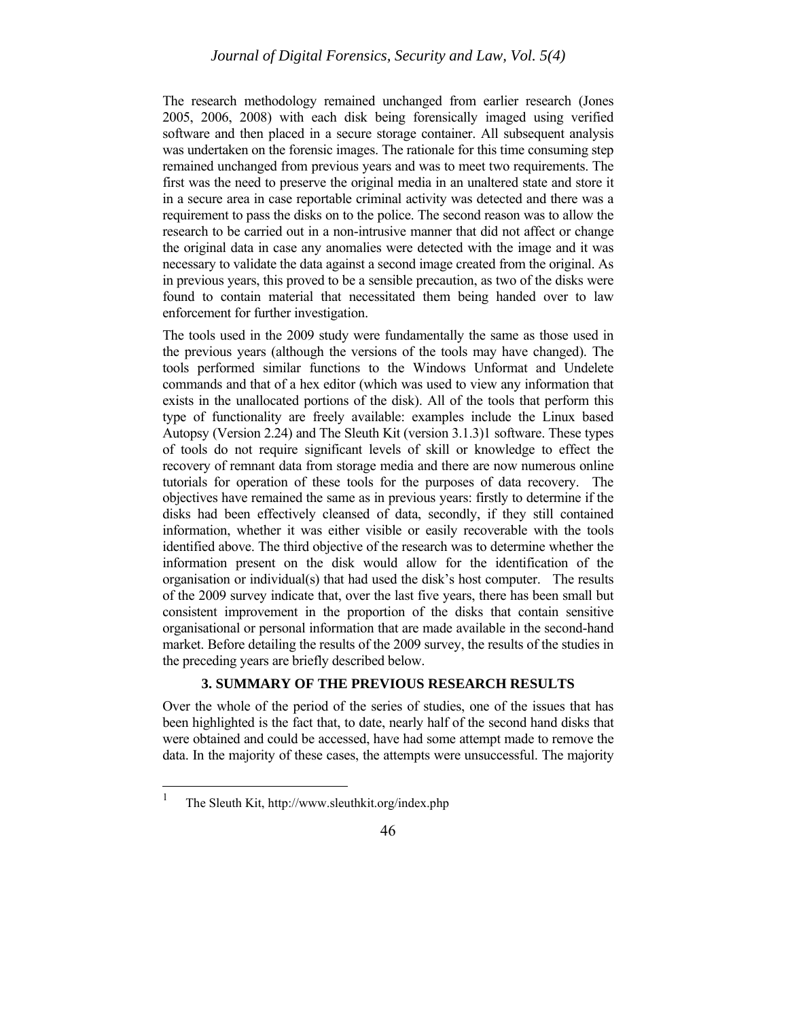The research methodology remained unchanged from earlier research (Jones 2005, 2006, 2008) with each disk being forensically imaged using verified software and then placed in a secure storage container. All subsequent analysis was undertaken on the forensic images. The rationale for this time consuming step remained unchanged from previous years and was to meet two requirements. The first was the need to preserve the original media in an unaltered state and store it in a secure area in case reportable criminal activity was detected and there was a requirement to pass the disks on to the police. The second reason was to allow the research to be carried out in a non-intrusive manner that did not affect or change the original data in case any anomalies were detected with the image and it was necessary to validate the data against a second image created from the original. As in previous years, this proved to be a sensible precaution, as two of the disks were found to contain material that necessitated them being handed over to law enforcement for further investigation.

The tools used in the 2009 study were fundamentally the same as those used in the previous years (although the versions of the tools may have changed). The tools performed similar functions to the Windows Unformat and Undelete commands and that of a hex editor (which was used to view any information that exists in the unallocated portions of the disk). All of the tools that perform this type of functionality are freely available: examples include the Linux based Autopsy (Version 2.24) and The Sleuth Kit (version 3.1.3)1 software. These types of tools do not require significant levels of skill or knowledge to effect the recovery of remnant data from storage media and there are now numerous online tutorials for operation of these tools for the purposes of data recovery. The objectives have remained the same as in previous years: firstly to determine if the disks had been effectively cleansed of data, secondly, if they still contained information, whether it was either visible or easily recoverable with the tools identified above. The third objective of the research was to determine whether the information present on the disk would allow for the identification of the organisation or individual(s) that had used the disk's host computer. The results of the 2009 survey indicate that, over the last five years, there has been small but consistent improvement in the proportion of the disks that contain sensitive organisational or personal information that are made available in the second-hand market. Before detailing the results of the 2009 survey, the results of the studies in the preceding years are briefly described below.

#### **3. SUMMARY OF THE PREVIOUS RESEARCH RESULTS**

Over the whole of the period of the series of studies, one of the issues that has been highlighted is the fact that, to date, nearly half of the second hand disks that were obtained and could be accessed, have had some attempt made to remove the data. In the majority of these cases, the attempts were unsuccessful. The majority

 $\,1$ 

<sup>1</sup> The Sleuth Kit, http://www.sleuthkit.org/index.php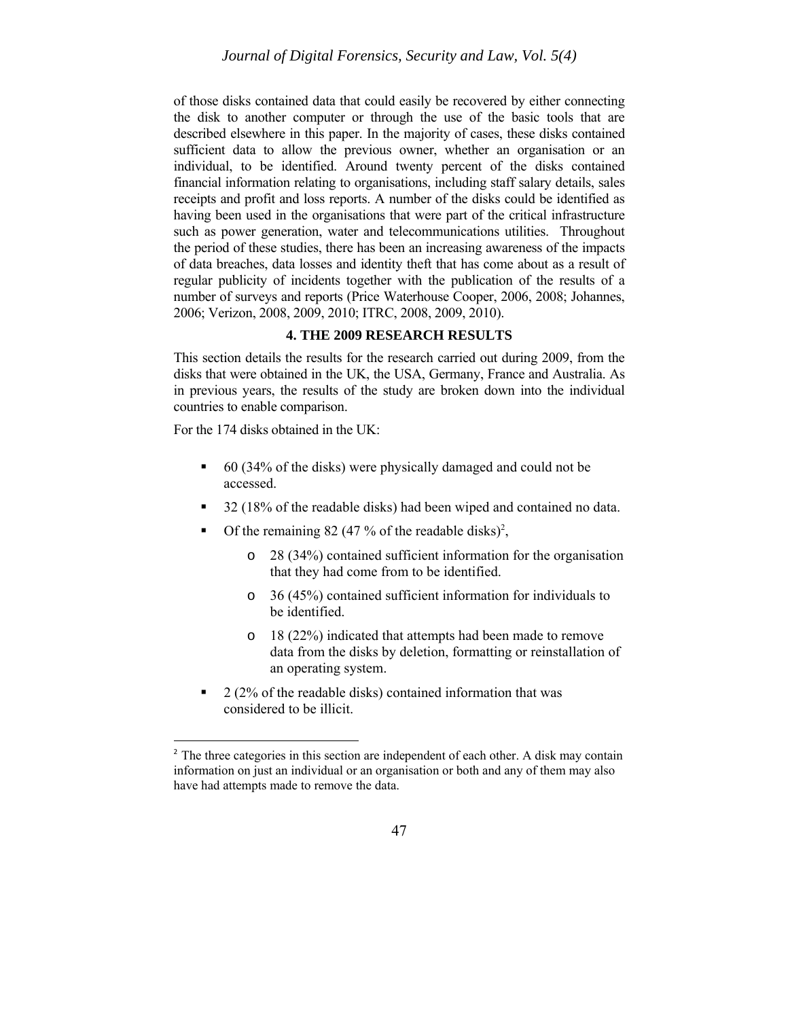of those disks contained data that could easily be recovered by either connecting the disk to another computer or through the use of the basic tools that are described elsewhere in this paper. In the majority of cases, these disks contained sufficient data to allow the previous owner, whether an organisation or an individual, to be identified. Around twenty percent of the disks contained financial information relating to organisations, including staff salary details, sales receipts and profit and loss reports. A number of the disks could be identified as having been used in the organisations that were part of the critical infrastructure such as power generation, water and telecommunications utilities. Throughout the period of these studies, there has been an increasing awareness of the impacts of data breaches, data losses and identity theft that has come about as a result of regular publicity of incidents together with the publication of the results of a number of surveys and reports (Price Waterhouse Cooper, 2006, 2008; Johannes, 2006; Verizon, 2008, 2009, 2010; ITRC, 2008, 2009, 2010).

# **4. THE 2009 RESEARCH RESULTS**

This section details the results for the research carried out during 2009, from the disks that were obtained in the UK, the USA, Germany, France and Australia. As in previous years, the results of the study are broken down into the individual countries to enable comparison.

For the 174 disks obtained in the UK:

 $\overline{a}$ 

- 60 (34% of the disks) were physically damaged and could not be accessed.
- 32 (18% of the readable disks) had been wiped and contained no data.
- Of the remaining 82 (47 % of the readable disks)<sup>2</sup>,
	- o 28 (34%) contained sufficient information for the organisation that they had come from to be identified.
	- o 36 (45%) contained sufficient information for individuals to be identified.
	- o 18 (22%) indicated that attempts had been made to remove data from the disks by deletion, formatting or reinstallation of an operating system.
- $\blacksquare$  2 (2% of the readable disks) contained information that was considered to be illicit.

<sup>&</sup>lt;sup>2</sup> The three categories in this section are independent of each other. A disk may contain information on just an individual or an organisation or both and any of them may also have had attempts made to remove the data.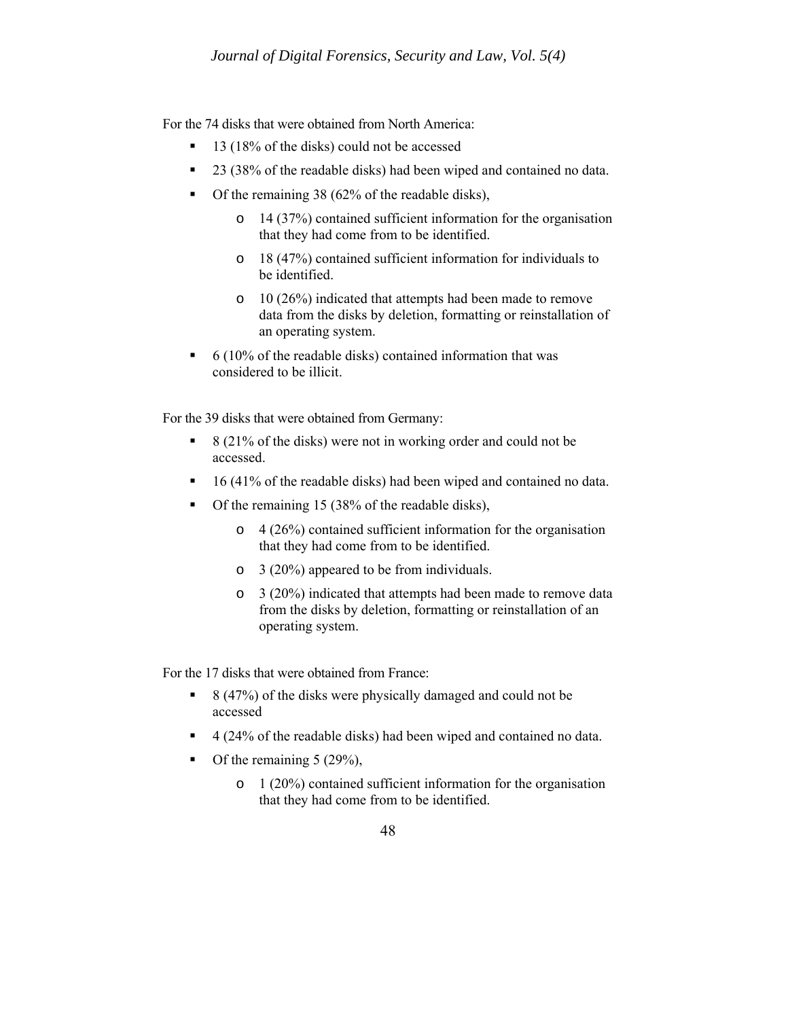For the 74 disks that were obtained from North America:

- 13 (18% of the disks) could not be accessed
- 23 (38% of the readable disks) had been wiped and contained no data.
- $\blacksquare$  Of the remaining 38 (62% of the readable disks),
	- o 14 (37%) contained sufficient information for the organisation that they had come from to be identified.
	- o 18 (47%) contained sufficient information for individuals to be identified.
	- o 10 (26%) indicated that attempts had been made to remove data from the disks by deletion, formatting or reinstallation of an operating system.
- $\bullet$  6 (10% of the readable disks) contained information that was considered to be illicit.

For the 39 disks that were obtained from Germany:

- $\approx$  8 (21% of the disks) were not in working order and could not be accessed.
- 16 (41% of the readable disks) had been wiped and contained no data.
- Of the remaining 15 (38% of the readable disks),
	- o 4 (26%) contained sufficient information for the organisation that they had come from to be identified.
	- o 3 (20%) appeared to be from individuals.
	- o 3 (20%) indicated that attempts had been made to remove data from the disks by deletion, formatting or reinstallation of an operating system.

For the 17 disks that were obtained from France:

- $\approx$  8 (47%) of the disks were physically damaged and could not be accessed
- 4 (24% of the readable disks) had been wiped and contained no data.
- Of the remaining  $5(29\%)$ ,
	- o 1 (20%) contained sufficient information for the organisation that they had come from to be identified.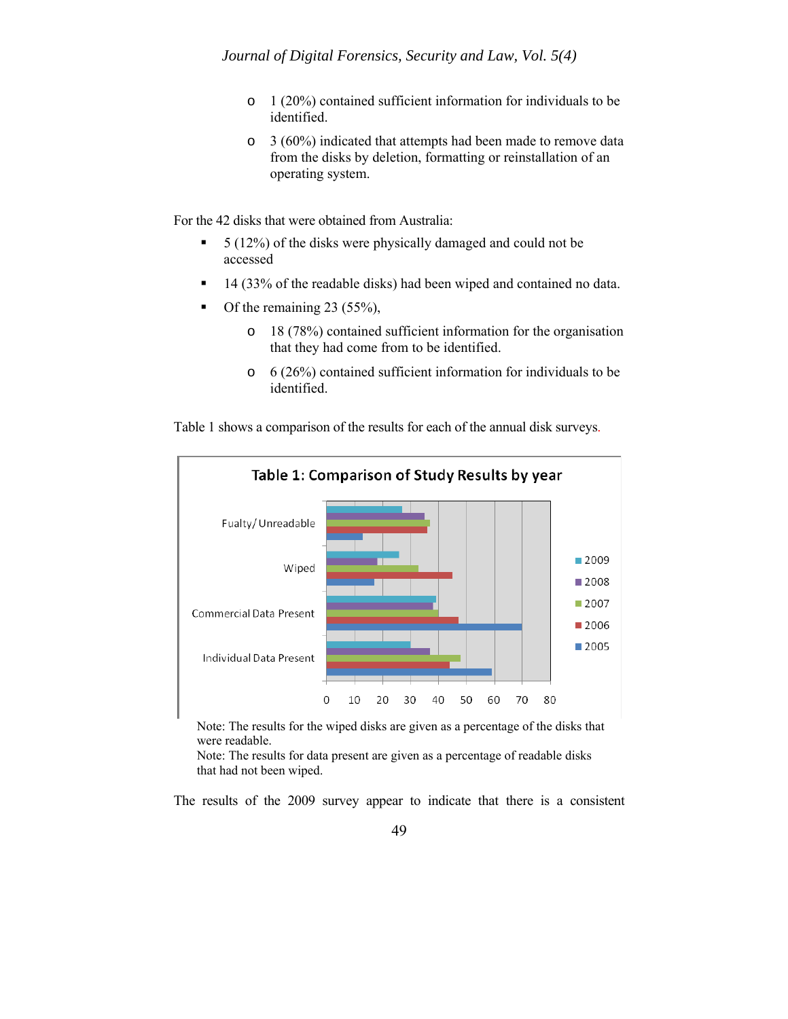- o 1 (20%) contained sufficient information for individuals to be identified.
- o 3 (60%) indicated that attempts had been made to remove data from the disks by deletion, formatting or reinstallation of an operating system.

For the 42 disks that were obtained from Australia:

- $\overline{5}$  (12%) of the disks were physically damaged and could not be accessed
- **14 (33% of the readable disks) had been wiped and contained no data.**
- $\blacksquare$  Of the remaining 23 (55%),
	- o 18 (78%) contained sufficient information for the organisation that they had come from to be identified.
	- o 6 (26%) contained sufficient information for individuals to be identified.

Table 1 shows a comparison of the results for each of the annual disk surveys.



Note: The results for the wiped disks are given as a percentage of the disks that were readable.

Note: The results for data present are given as a percentage of readable disks that had not been wiped.

The results of the 2009 survey appear to indicate that there is a consistent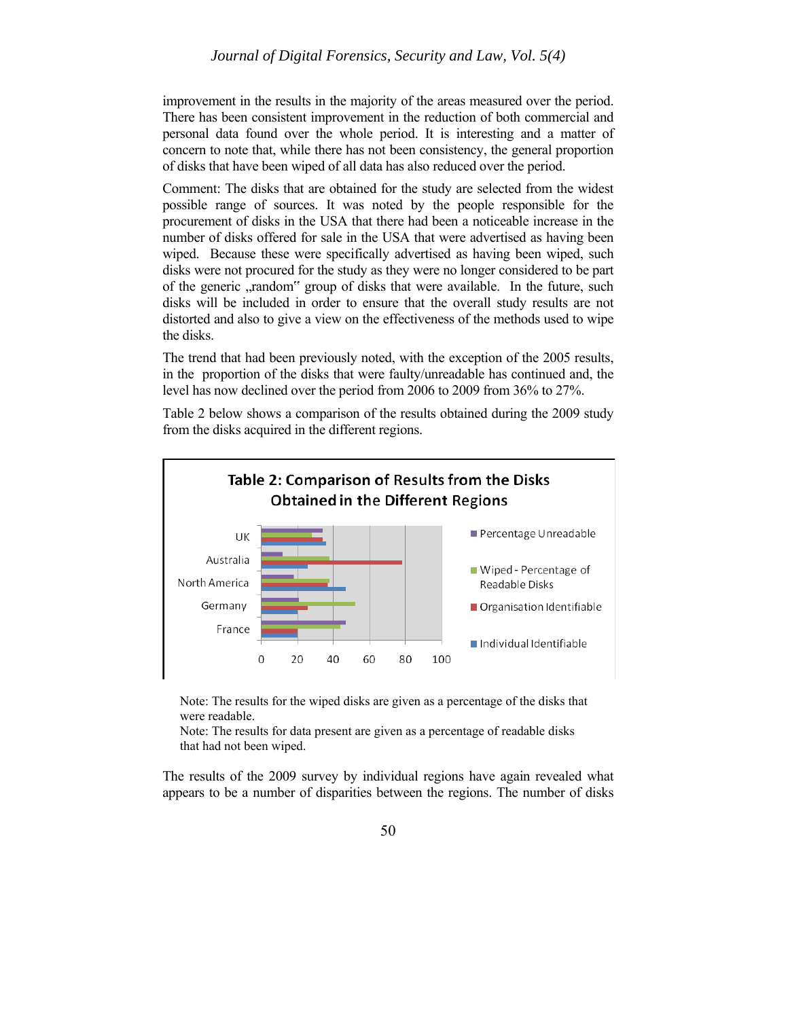improvement in the results in the majority of the areas measured over the period. There has been consistent improvement in the reduction of both commercial and personal data found over the whole period. It is interesting and a matter of concern to note that, while there has not been consistency, the general proportion of disks that have been wiped of all data has also reduced over the period.

Comment: The disks that are obtained for the study are selected from the widest possible range of sources. It was noted by the people responsible for the procurement of disks in the USA that there had been a noticeable increase in the number of disks offered for sale in the USA that were advertised as having been wiped. Because these were specifically advertised as having been wiped, such disks were not procured for the study as they were no longer considered to be part of the generic "random" group of disks that were available. In the future, such disks will be included in order to ensure that the overall study results are not distorted and also to give a view on the effectiveness of the methods used to wipe the disks.

The trend that had been previously noted, with the exception of the 2005 results, in the proportion of the disks that were faulty/unreadable has continued and, the level has now declined over the period from 2006 to 2009 from 36% to 27%.

Table 2 below shows a comparison of the results obtained during the 2009 study from the disks acquired in the different regions.



Note: The results for the wiped disks are given as a percentage of the disks that were readable.

Note: The results for data present are given as a percentage of readable disks that had not been wiped.

The results of the 2009 survey by individual regions have again revealed what appears to be a number of disparities between the regions. The number of disks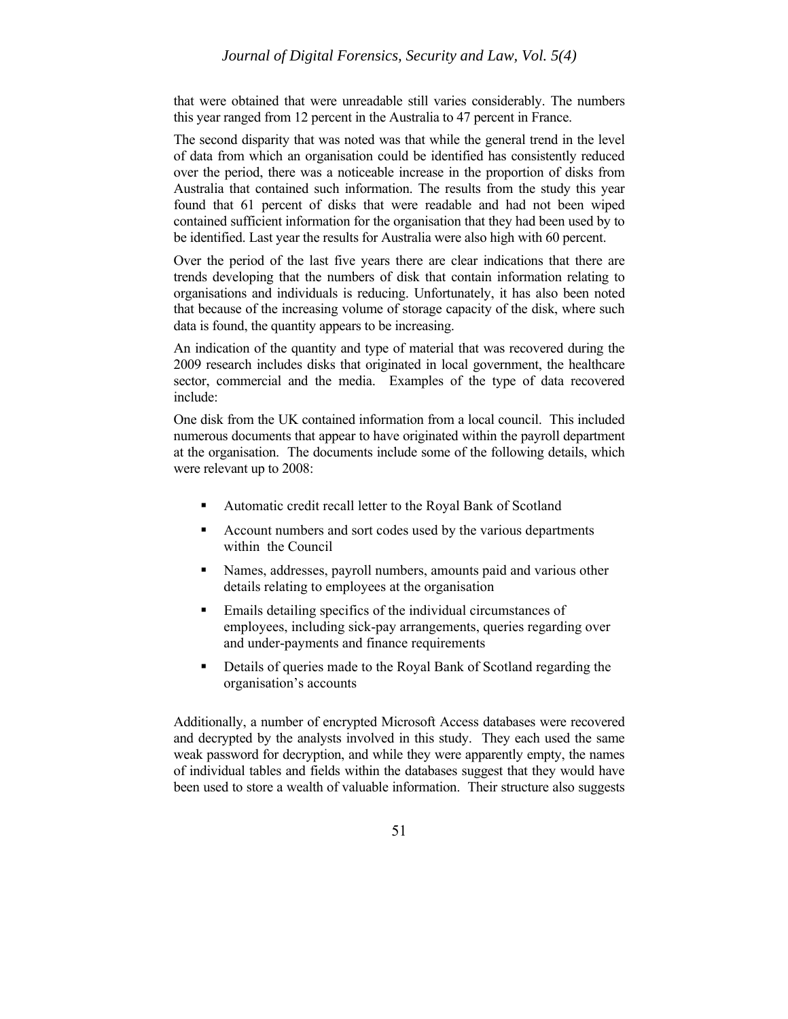that were obtained that were unreadable still varies considerably. The numbers this year ranged from 12 percent in the Australia to 47 percent in France.

The second disparity that was noted was that while the general trend in the level of data from which an organisation could be identified has consistently reduced over the period, there was a noticeable increase in the proportion of disks from Australia that contained such information. The results from the study this year found that 61 percent of disks that were readable and had not been wiped contained sufficient information for the organisation that they had been used by to be identified. Last year the results for Australia were also high with 60 percent.

Over the period of the last five years there are clear indications that there are trends developing that the numbers of disk that contain information relating to organisations and individuals is reducing. Unfortunately, it has also been noted that because of the increasing volume of storage capacity of the disk, where such data is found, the quantity appears to be increasing.

An indication of the quantity and type of material that was recovered during the 2009 research includes disks that originated in local government, the healthcare sector, commercial and the media. Examples of the type of data recovered include:

One disk from the UK contained information from a local council. This included numerous documents that appear to have originated within the payroll department at the organisation. The documents include some of the following details, which were relevant up to 2008:

- Automatic credit recall letter to the Royal Bank of Scotland
- Account numbers and sort codes used by the various departments within the Council
- Names, addresses, payroll numbers, amounts paid and various other details relating to employees at the organisation
- Emails detailing specifics of the individual circumstances of employees, including sick-pay arrangements, queries regarding over and under-payments and finance requirements
- Details of queries made to the Royal Bank of Scotland regarding the organisation's accounts

Additionally, a number of encrypted Microsoft Access databases were recovered and decrypted by the analysts involved in this study. They each used the same weak password for decryption, and while they were apparently empty, the names of individual tables and fields within the databases suggest that they would have been used to store a wealth of valuable information. Their structure also suggests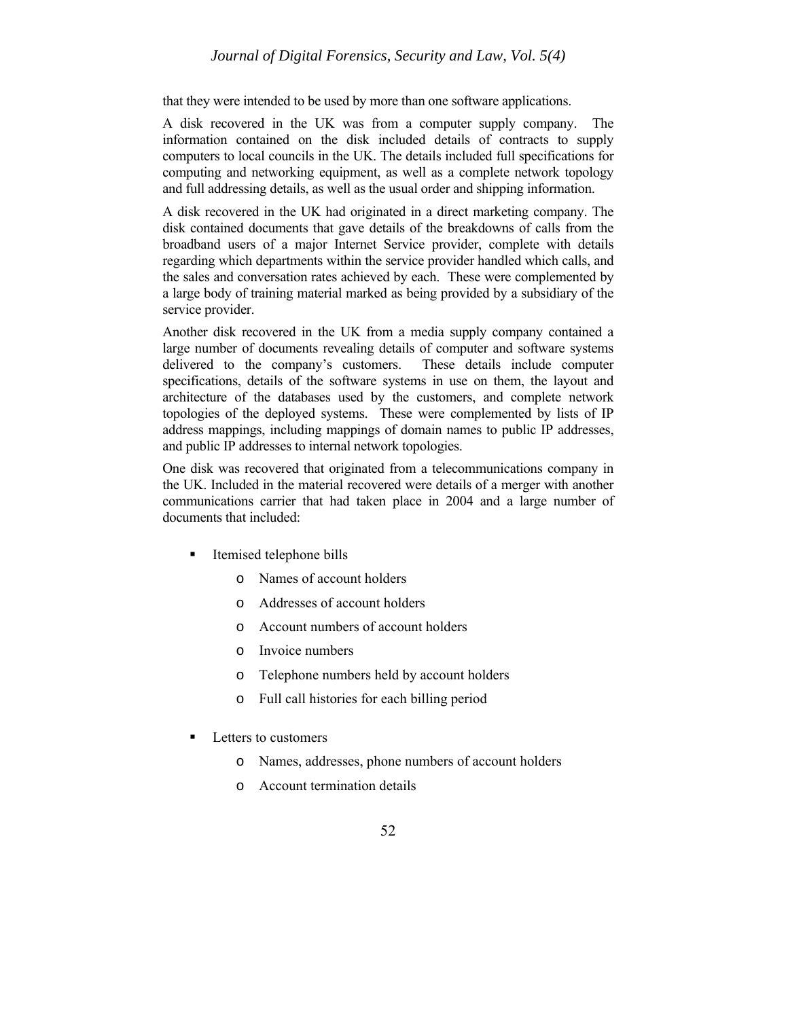# *Journal of Digital Forensics, Security and Law, Vol. 5(4)*

that they were intended to be used by more than one software applications.

A disk recovered in the UK was from a computer supply company. The information contained on the disk included details of contracts to supply computers to local councils in the UK. The details included full specifications for computing and networking equipment, as well as a complete network topology and full addressing details, as well as the usual order and shipping information.

A disk recovered in the UK had originated in a direct marketing company. The disk contained documents that gave details of the breakdowns of calls from the broadband users of a major Internet Service provider, complete with details regarding which departments within the service provider handled which calls, and the sales and conversation rates achieved by each. These were complemented by a large body of training material marked as being provided by a subsidiary of the service provider.

Another disk recovered in the UK from a media supply company contained a large number of documents revealing details of computer and software systems delivered to the company's customers. These details include computer specifications, details of the software systems in use on them, the layout and architecture of the databases used by the customers, and complete network topologies of the deployed systems. These were complemented by lists of IP address mappings, including mappings of domain names to public IP addresses, and public IP addresses to internal network topologies.

One disk was recovered that originated from a telecommunications company in the UK. Included in the material recovered were details of a merger with another communications carrier that had taken place in 2004 and a large number of documents that included:

- Itemised telephone bills
	- o Names of account holders
	- o Addresses of account holders
	- o Account numbers of account holders
	- o Invoice numbers
	- o Telephone numbers held by account holders
	- o Full call histories for each billing period
- Letters to customers
	- o Names, addresses, phone numbers of account holders
	- o Account termination details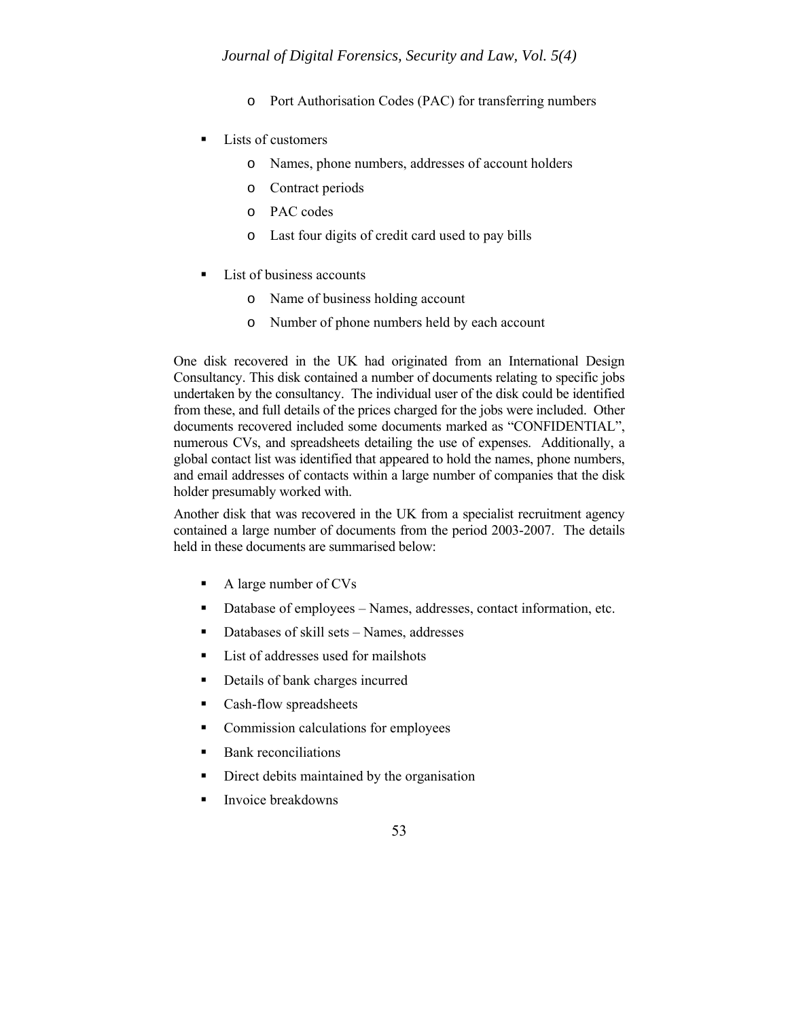- o Port Authorisation Codes (PAC) for transferring numbers
- Lists of customers
	- o Names, phone numbers, addresses of account holders
	- o Contract periods
	- o PAC codes
	- o Last four digits of credit card used to pay bills
- List of business accounts
	- o Name of business holding account
	- o Number of phone numbers held by each account

One disk recovered in the UK had originated from an International Design Consultancy. This disk contained a number of documents relating to specific jobs undertaken by the consultancy. The individual user of the disk could be identified from these, and full details of the prices charged for the jobs were included. Other documents recovered included some documents marked as "CONFIDENTIAL", numerous CVs, and spreadsheets detailing the use of expenses. Additionally, a global contact list was identified that appeared to hold the names, phone numbers, and email addresses of contacts within a large number of companies that the disk holder presumably worked with.

Another disk that was recovered in the UK from a specialist recruitment agency contained a large number of documents from the period 2003-2007. The details held in these documents are summarised below:

- A large number of CVs
- Database of employees Names, addresses, contact information, etc.
- Databases of skill sets Names, addresses
- $\blacksquare$  List of addresses used for mailshots
- Details of bank charges incurred
- Cash-flow spreadsheets
- Commission calculations for employees
- **Bank reconciliations**
- Direct debits maintained by the organisation
- **Invoice breakdowns**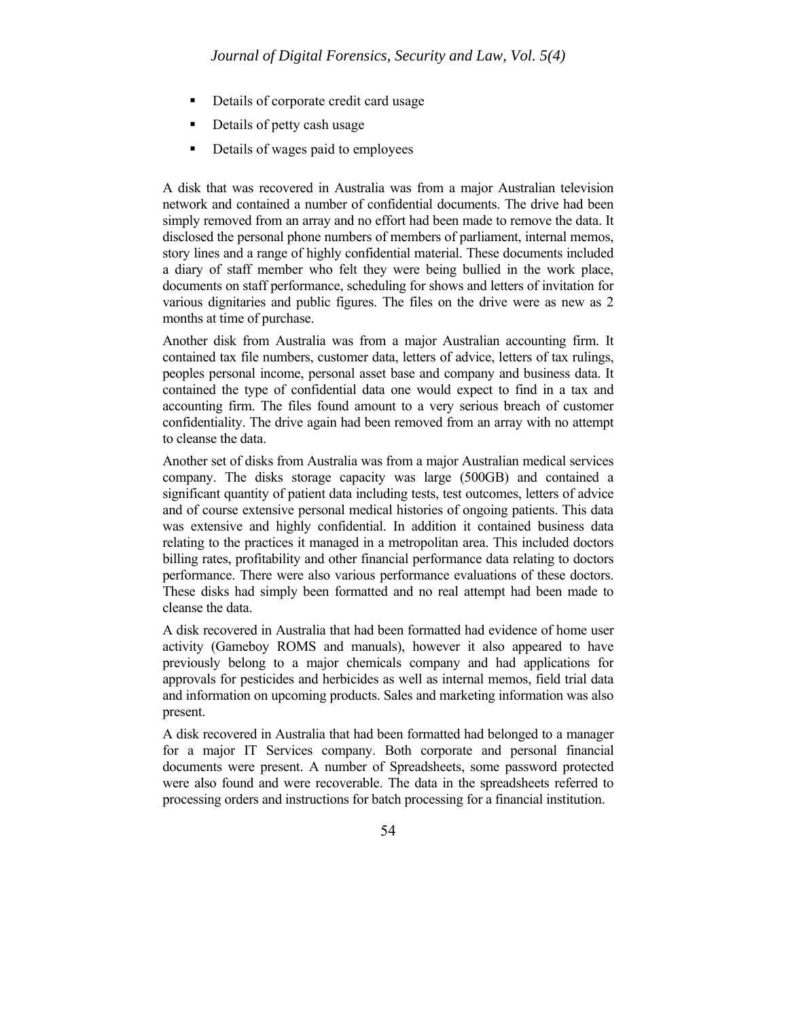- Details of corporate credit card usage
- Details of petty cash usage
- Details of wages paid to employees

A disk that was recovered in Australia was from a major Australian television network and contained a number of confidential documents. The drive had been simply removed from an array and no effort had been made to remove the data. It disclosed the personal phone numbers of members of parliament, internal memos, story lines and a range of highly confidential material. These documents included a diary of staff member who felt they were being bullied in the work place, documents on staff performance, scheduling for shows and letters of invitation for various dignitaries and public figures. The files on the drive were as new as 2 months at time of purchase.

Another disk from Australia was from a major Australian accounting firm. It contained tax file numbers, customer data, letters of advice, letters of tax rulings, peoples personal income, personal asset base and company and business data. It contained the type of confidential data one would expect to find in a tax and accounting firm. The files found amount to a very serious breach of customer confidentiality. The drive again had been removed from an array with no attempt to cleanse the data.

Another set of disks from Australia was from a major Australian medical services company. The disks storage capacity was large (500GB) and contained a significant quantity of patient data including tests, test outcomes, letters of advice and of course extensive personal medical histories of ongoing patients. This data was extensive and highly confidential. In addition it contained business data relating to the practices it managed in a metropolitan area. This included doctors billing rates, profitability and other financial performance data relating to doctors performance. There were also various performance evaluations of these doctors. These disks had simply been formatted and no real attempt had been made to cleanse the data.

A disk recovered in Australia that had been formatted had evidence of home user activity (Gameboy ROMS and manuals), however it also appeared to have previously belong to a major chemicals company and had applications for approvals for pesticides and herbicides as well as internal memos, field trial data and information on upcoming products. Sales and marketing information was also present.

A disk recovered in Australia that had been formatted had belonged to a manager for a major IT Services company. Both corporate and personal financial documents were present. A number of Spreadsheets, some password protected were also found and were recoverable. The data in the spreadsheets referred to processing orders and instructions for batch processing for a financial institution.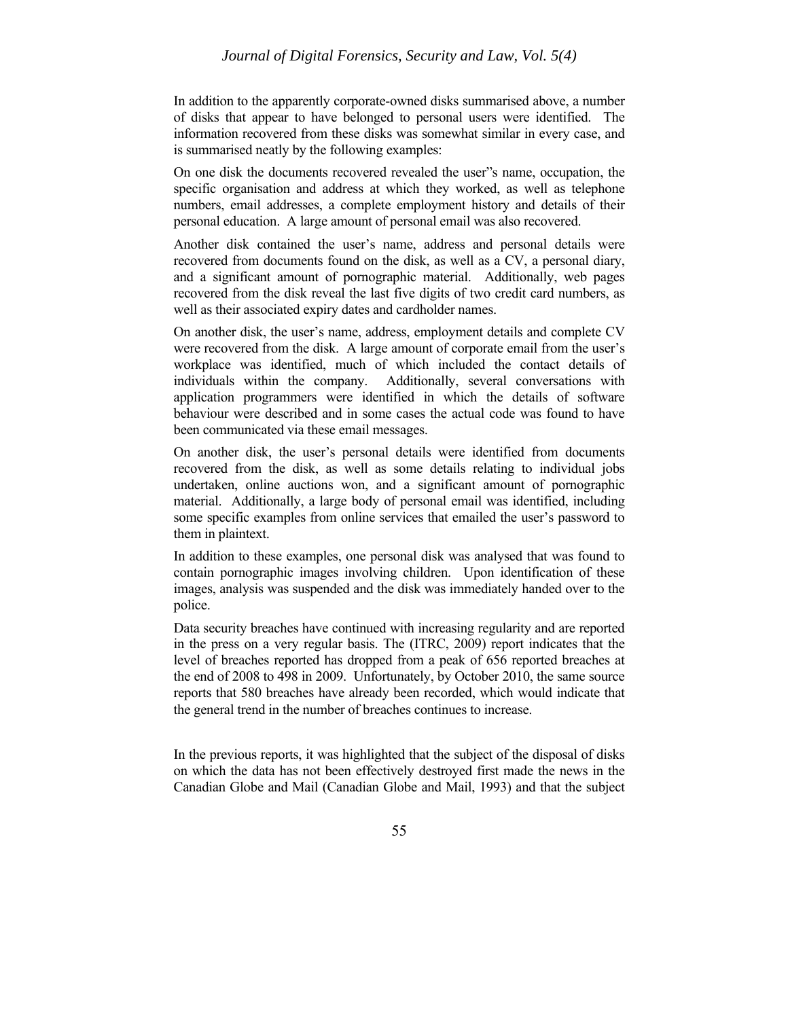In addition to the apparently corporate-owned disks summarised above, a number of disks that appear to have belonged to personal users were identified. The information recovered from these disks was somewhat similar in every case, and is summarised neatly by the following examples:

On one disk the documents recovered revealed the user"s name, occupation, the specific organisation and address at which they worked, as well as telephone numbers, email addresses, a complete employment history and details of their personal education. A large amount of personal email was also recovered.

Another disk contained the user's name, address and personal details were recovered from documents found on the disk, as well as a CV, a personal diary, and a significant amount of pornographic material. Additionally, web pages recovered from the disk reveal the last five digits of two credit card numbers, as well as their associated expiry dates and cardholder names.

On another disk, the user's name, address, employment details and complete CV were recovered from the disk. A large amount of corporate email from the user's workplace was identified, much of which included the contact details of individuals within the company. Additionally, several conversations with application programmers were identified in which the details of software behaviour were described and in some cases the actual code was found to have been communicated via these email messages.

On another disk, the user's personal details were identified from documents recovered from the disk, as well as some details relating to individual jobs undertaken, online auctions won, and a significant amount of pornographic material. Additionally, a large body of personal email was identified, including some specific examples from online services that emailed the user's password to them in plaintext.

In addition to these examples, one personal disk was analysed that was found to contain pornographic images involving children. Upon identification of these images, analysis was suspended and the disk was immediately handed over to the police.

Data security breaches have continued with increasing regularity and are reported in the press on a very regular basis. The (ITRC, 2009) report indicates that the level of breaches reported has dropped from a peak of 656 reported breaches at the end of 2008 to 498 in 2009. Unfortunately, by October 2010, the same source reports that 580 breaches have already been recorded, which would indicate that the general trend in the number of breaches continues to increase.

In the previous reports, it was highlighted that the subject of the disposal of disks on which the data has not been effectively destroyed first made the news in the Canadian Globe and Mail (Canadian Globe and Mail, 1993) and that the subject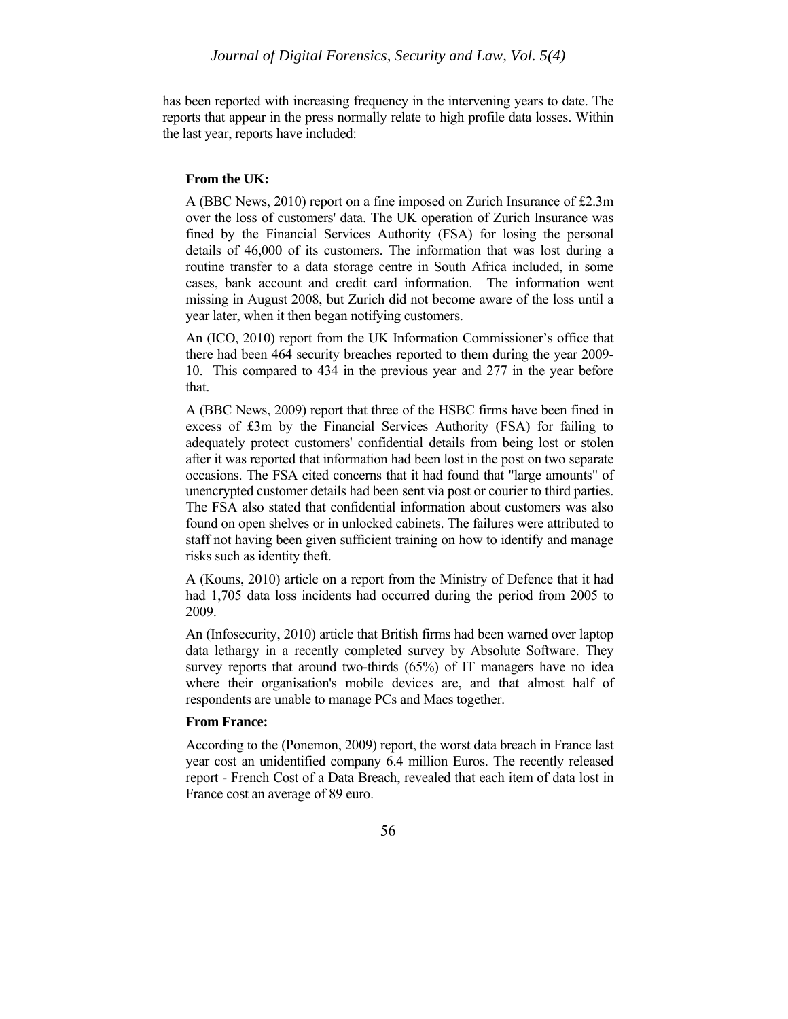has been reported with increasing frequency in the intervening years to date. The reports that appear in the press normally relate to high profile data losses. Within the last year, reports have included:

#### **From the UK:**

A (BBC News, 2010) report on a fine imposed on Zurich Insurance of £2.3m over the loss of customers' data. The UK operation of Zurich Insurance was fined by the Financial Services Authority (FSA) for losing the personal details of 46,000 of its customers. The information that was lost during a routine transfer to a data storage centre in South Africa included, in some cases, bank account and credit card information. The information went missing in August 2008, but Zurich did not become aware of the loss until a year later, when it then began notifying customers.

An (ICO, 2010) report from the UK Information Commissioner's office that there had been 464 security breaches reported to them during the year 2009- 10. This compared to 434 in the previous year and 277 in the year before that.

A (BBC News, 2009) report that three of the HSBC firms have been fined in excess of £3m by the Financial Services Authority (FSA) for failing to adequately protect customers' confidential details from being lost or stolen after it was reported that information had been lost in the post on two separate occasions. The FSA cited concerns that it had found that "large amounts" of unencrypted customer details had been sent via post or courier to third parties. The FSA also stated that confidential information about customers was also found on open shelves or in unlocked cabinets. The failures were attributed to staff not having been given sufficient training on how to identify and manage risks such as identity theft.

A (Kouns, 2010) article on a report from the Ministry of Defence that it had had 1,705 data loss incidents had occurred during the period from 2005 to 2009.

An (Infosecurity, 2010) article that British firms had been warned over laptop data lethargy in a recently completed survey by Absolute Software. They survey reports that around two-thirds (65%) of IT managers have no idea where their organisation's mobile devices are, and that almost half of respondents are unable to manage PCs and Macs together.

# **From France:**

According to the (Ponemon, 2009) report, the worst data breach in France last year cost an unidentified company 6.4 million Euros. The recently released report - French Cost of a Data Breach, revealed that each item of data lost in France cost an average of 89 euro.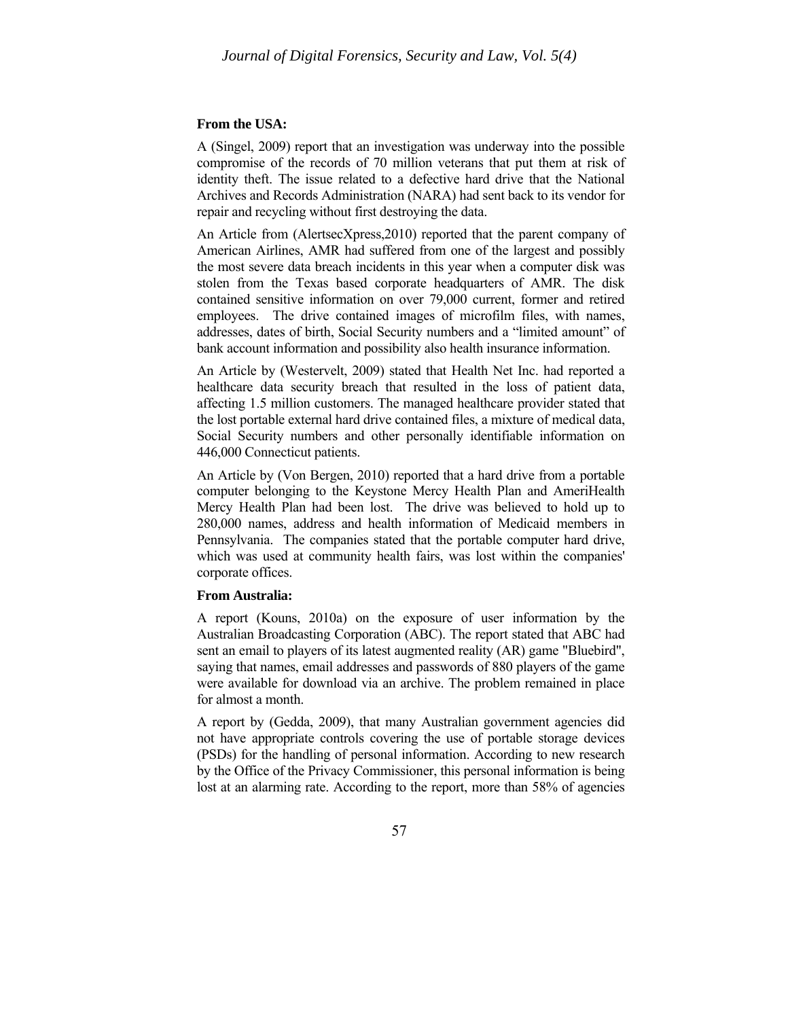#### **From the USA:**

A (Singel, 2009) report that an investigation was underway into the possible compromise of the records of 70 million veterans that put them at risk of identity theft. The issue related to a defective hard drive that the National Archives and Records Administration (NARA) had sent back to its vendor for repair and recycling without first destroying the data.

An Article from (AlertsecXpress,2010) reported that the parent company of American Airlines, AMR had suffered from one of the largest and possibly the most severe data breach incidents in this year when a computer disk was stolen from the Texas based corporate headquarters of AMR. The disk contained sensitive information on over 79,000 current, former and retired employees. The drive contained images of microfilm files, with names, addresses, dates of birth, Social Security numbers and a "limited amount" of bank account information and possibility also health insurance information.

An Article by (Westervelt, 2009) stated that Health Net Inc. had reported a healthcare data security breach that resulted in the loss of patient data, affecting 1.5 million customers. The managed healthcare provider stated that the lost portable external hard drive contained files, a mixture of medical data, Social Security numbers and other personally identifiable information on 446,000 Connecticut patients.

An Article by (Von Bergen, 2010) reported that a hard drive from a portable computer belonging to the Keystone Mercy Health Plan and AmeriHealth Mercy Health Plan had been lost. The drive was believed to hold up to 280,000 names, address and health information of Medicaid members in Pennsylvania. The companies stated that the portable computer hard drive, which was used at community health fairs, was lost within the companies' corporate offices.

#### **From Australia:**

A report (Kouns, 2010a) on the exposure of user information by the Australian Broadcasting Corporation (ABC). The report stated that ABC had sent an email to players of its latest augmented reality (AR) game "Bluebird", saying that names, email addresses and passwords of 880 players of the game were available for download via an archive. The problem remained in place for almost a month.

A report by (Gedda, 2009), that many Australian government agencies did not have appropriate controls covering the use of portable storage devices (PSDs) for the handling of personal information. According to new research by the Office of the Privacy Commissioner, this personal information is being lost at an alarming rate. According to the report, more than 58% of agencies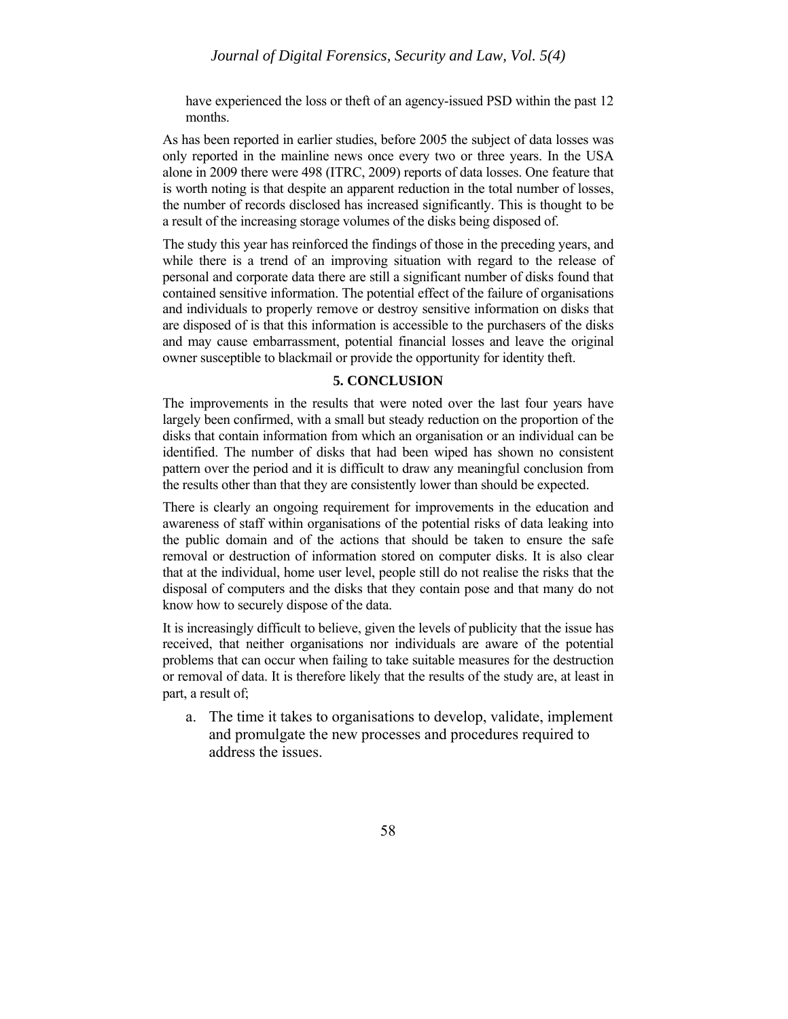have experienced the loss or theft of an agency-issued PSD within the past 12 months.

As has been reported in earlier studies, before 2005 the subject of data losses was only reported in the mainline news once every two or three years. In the USA alone in 2009 there were 498 (ITRC, 2009) reports of data losses. One feature that is worth noting is that despite an apparent reduction in the total number of losses, the number of records disclosed has increased significantly. This is thought to be a result of the increasing storage volumes of the disks being disposed of.

The study this year has reinforced the findings of those in the preceding years, and while there is a trend of an improving situation with regard to the release of personal and corporate data there are still a significant number of disks found that contained sensitive information. The potential effect of the failure of organisations and individuals to properly remove or destroy sensitive information on disks that are disposed of is that this information is accessible to the purchasers of the disks and may cause embarrassment, potential financial losses and leave the original owner susceptible to blackmail or provide the opportunity for identity theft.

# **5. CONCLUSION**

The improvements in the results that were noted over the last four years have largely been confirmed, with a small but steady reduction on the proportion of the disks that contain information from which an organisation or an individual can be identified. The number of disks that had been wiped has shown no consistent pattern over the period and it is difficult to draw any meaningful conclusion from the results other than that they are consistently lower than should be expected.

There is clearly an ongoing requirement for improvements in the education and awareness of staff within organisations of the potential risks of data leaking into the public domain and of the actions that should be taken to ensure the safe removal or destruction of information stored on computer disks. It is also clear that at the individual, home user level, people still do not realise the risks that the disposal of computers and the disks that they contain pose and that many do not know how to securely dispose of the data.

It is increasingly difficult to believe, given the levels of publicity that the issue has received, that neither organisations nor individuals are aware of the potential problems that can occur when failing to take suitable measures for the destruction or removal of data. It is therefore likely that the results of the study are, at least in part, a result of;

a. The time it takes to organisations to develop, validate, implement and promulgate the new processes and procedures required to address the issues.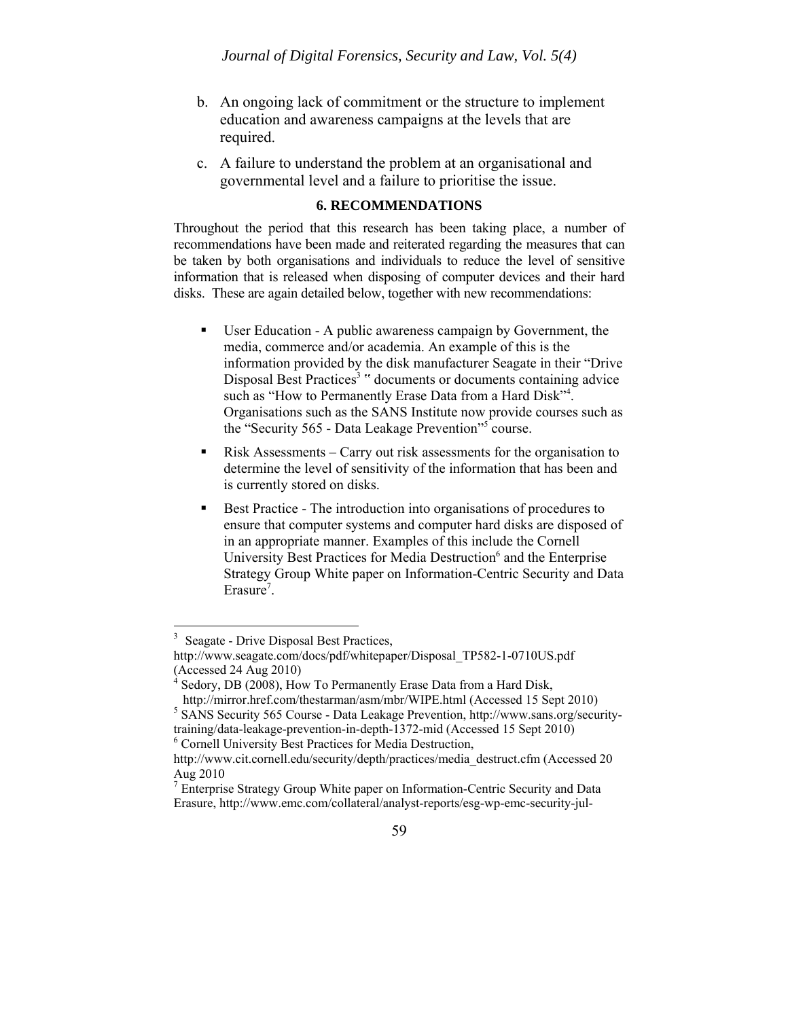- b. An ongoing lack of commitment or the structure to implement education and awareness campaigns at the levels that are required.
- c. A failure to understand the problem at an organisational and governmental level and a failure to prioritise the issue.

# **6. RECOMMENDATIONS**

Throughout the period that this research has been taking place, a number of recommendations have been made and reiterated regarding the measures that can be taken by both organisations and individuals to reduce the level of sensitive information that is released when disposing of computer devices and their hard disks. These are again detailed below, together with new recommendations:

- User Education A public awareness campaign by Government, the media, commerce and/or academia. An example of this is the information provided by the disk manufacturer Seagate in their "Drive Disposal Best Practices<sup>3</sup> " documents or documents containing advice such as "How to Permanently Erase Data from a Hard Disk"<sup>4</sup>. Organisations such as the SANS Institute now provide courses such as the "Security 565 - Data Leakage Prevention"<sup>5</sup> course.
- Risk Assessments Carry out risk assessments for the organisation to determine the level of sensitivity of the information that has been and is currently stored on disks.
- Best Practice The introduction into organisations of procedures to ensure that computer systems and computer hard disks are disposed of in an appropriate manner. Examples of this include the Cornell University Best Practices for Media Destruction<sup>6</sup> and the Enterprise Strategy Group White paper on Information-Centric Security and Data Erasure<sup>7</sup>.

 $\overline{a}$ 

<sup>&</sup>lt;sup>3</sup> Seagate - Drive Disposal Best Practices,

http://www.seagate.com/docs/pdf/whitepaper/Disposal\_TP582-1-0710US.pdf (Accessed 24 Aug 2010)<br><sup>4</sup> Sedory, DB (2008), How To Permanently Erase Data from a Hard Disk,

http://mirror.href.com/thestarman/asm/mbr/WIPE.html (Accessed 15 Sept 2010) <sup>5</sup> SANS Security 565 Course - Data Leakage Prevention, http://www.sans.org/securitytraining/data-leakage-prevention-in-depth-1372-mid (Accessed 15 Sept 2010) <sup>6</sup> Cornell University Best Practices for Media Destruction,

http://www.cit.cornell.edu/security/depth/practices/media\_destruct.cfm (Accessed 20 Aug 2010

<sup>&</sup>lt;sup>7</sup> Enterprise Strategy Group White paper on Information-Centric Security and Data Erasure, http://www.emc.com/collateral/analyst-reports/esg-wp-emc-security-jul-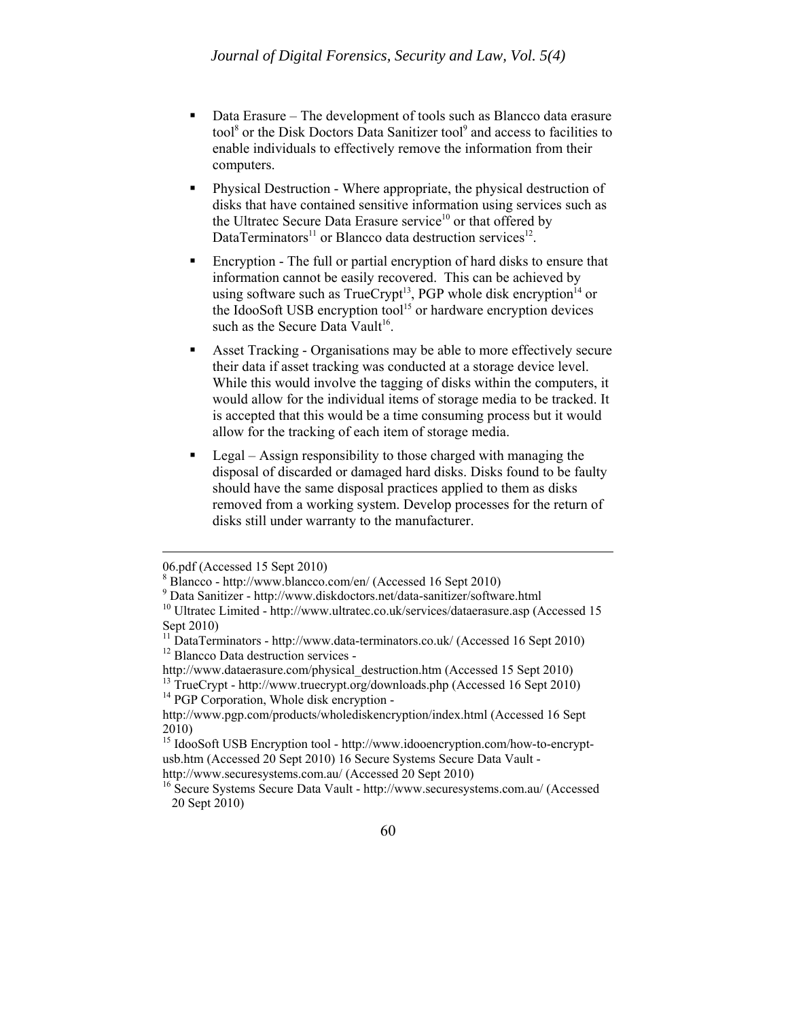- Data Erasure The development of tools such as Blancco data erasure tool<sup>8</sup> or the Disk Doctors Data Sanitizer tool<sup>9</sup> and access to facilities to enable individuals to effectively remove the information from their computers.
- **Physical Destruction Where appropriate, the physical destruction of** disks that have contained sensitive information using services such as the Ultratec Secure Data Erasure service<sup>10</sup> or that offered by DataTerminators<sup>11</sup> or Blancco data destruction services<sup>12</sup>.
- Encryption The full or partial encryption of hard disks to ensure that information cannot be easily recovered. This can be achieved by using software such as  $True$ Crypt $13$ , PGP whole disk encryption $14$  or the IdooSoft USB encryption tool<sup>15</sup> or hardware encryption devices such as the Secure Data Vault<sup>16</sup>.
- Asset Tracking Organisations may be able to more effectively secure their data if asset tracking was conducted at a storage device level. While this would involve the tagging of disks within the computers, it would allow for the individual items of storage media to be tracked. It is accepted that this would be a time consuming process but it would allow for the tracking of each item of storage media.
- Legal Assign responsibility to those charged with managing the disposal of discarded or damaged hard disks. Disks found to be faulty should have the same disposal practices applied to them as disks removed from a working system. Develop processes for the return of disks still under warranty to the manufacturer.

 $\overline{a}$ 

<sup>14</sup> PGP Corporation, Whole disk encryption -

http://www.securesystems.com.au/ (Accessed 20 Sept 2010)

<sup>06.</sup>pdf (Accessed 15 Sept 2010)

<sup>8</sup> Blancco - http://www.blancco.com/en/ (Accessed 16 Sept 2010)

 $^9$  Data Sanitizer - http://www.diskdoctors.net/data-sanitizer/software.html

 $10$  Ultratec Limited - http://www.ultratec.co.uk/services/dataerasure.asp (Accessed 15 Sept 2010)

<sup>&</sup>lt;sup>11</sup> DataTerminators - http://www.data-terminators.co.uk/ (Accessed 16 Sept 2010)<br><sup>12</sup> Blancco Data destruction services -<br>http://www.dataerasure.com/physical destruction.htm (Accessed 15 Sept 2010)

 $\frac{13}{13}$  TrueCrypt - http://www.truecrypt.org/downloads.php (Accessed 16 Sept 2010)

http://www.pgp.com/products/wholediskencryption/index.html (Accessed 16 Sept 2010)

<sup>15</sup> IdooSoft USB Encryption tool - http://www.idooencryption.com/how-to-encryptusb.htm (Accessed 20 Sept 2010) 16 Secure Systems Secure Data Vault -

<sup>16</sup> Secure Systems Secure Data Vault - http://www.securesystems.com.au/ (Accessed 20 Sept 2010)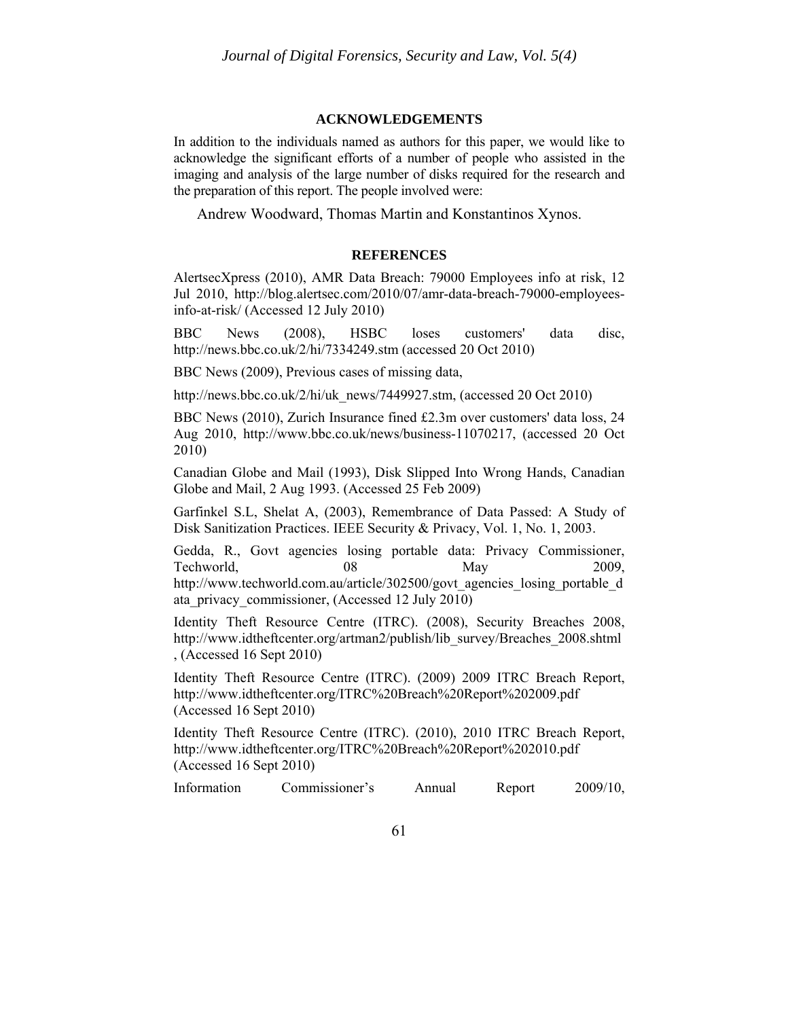#### **ACKNOWLEDGEMENTS**

In addition to the individuals named as authors for this paper, we would like to acknowledge the significant efforts of a number of people who assisted in the imaging and analysis of the large number of disks required for the research and the preparation of this report. The people involved were:

Andrew Woodward, Thomas Martin and Konstantinos Xynos.

#### **REFERENCES**

AlertsecXpress (2010), AMR Data Breach: 79000 Employees info at risk, 12 Jul 2010, http://blog.alertsec.com/2010/07/amr-data-breach-79000-employeesinfo-at-risk/ (Accessed 12 July 2010)

BBC News (2008), HSBC loses customers' data disc, http://news.bbc.co.uk/2/hi/7334249.stm (accessed 20 Oct 2010)

BBC News (2009), Previous cases of missing data,

http://news.bbc.co.uk/2/hi/uk\_news/7449927.stm, (accessed 20 Oct 2010)

BBC News (2010), Zurich Insurance fined £2.3m over customers' data loss, 24 Aug 2010, http://www.bbc.co.uk/news/business-11070217, (accessed 20 Oct 2010)

Canadian Globe and Mail (1993), Disk Slipped Into Wrong Hands, Canadian Globe and Mail, 2 Aug 1993. (Accessed 25 Feb 2009)

Garfinkel S.L, Shelat A, (2003), Remembrance of Data Passed: A Study of Disk Sanitization Practices. IEEE Security & Privacy, Vol. 1, No. 1, 2003.

Gedda, R., Govt agencies losing portable data: Privacy Commissioner, Techworld, 08 May 2009, http://www.techworld.com.au/article/302500/govt\_agencies\_losing\_portable\_d ata\_privacy\_commissioner, (Accessed 12 July 2010)

Identity Theft Resource Centre (ITRC). (2008), Security Breaches 2008, http://www.idtheftcenter.org/artman2/publish/lib\_survey/Breaches\_2008.shtml , (Accessed 16 Sept 2010)

Identity Theft Resource Centre (ITRC). (2009) 2009 ITRC Breach Report, http://www.idtheftcenter.org/ITRC%20Breach%20Report%202009.pdf (Accessed 16 Sept 2010)

Identity Theft Resource Centre (ITRC). (2010), 2010 ITRC Breach Report, http://www.idtheftcenter.org/ITRC%20Breach%20Report%202010.pdf (Accessed 16 Sept 2010)

Information Commissioner's Annual Report 2009/10,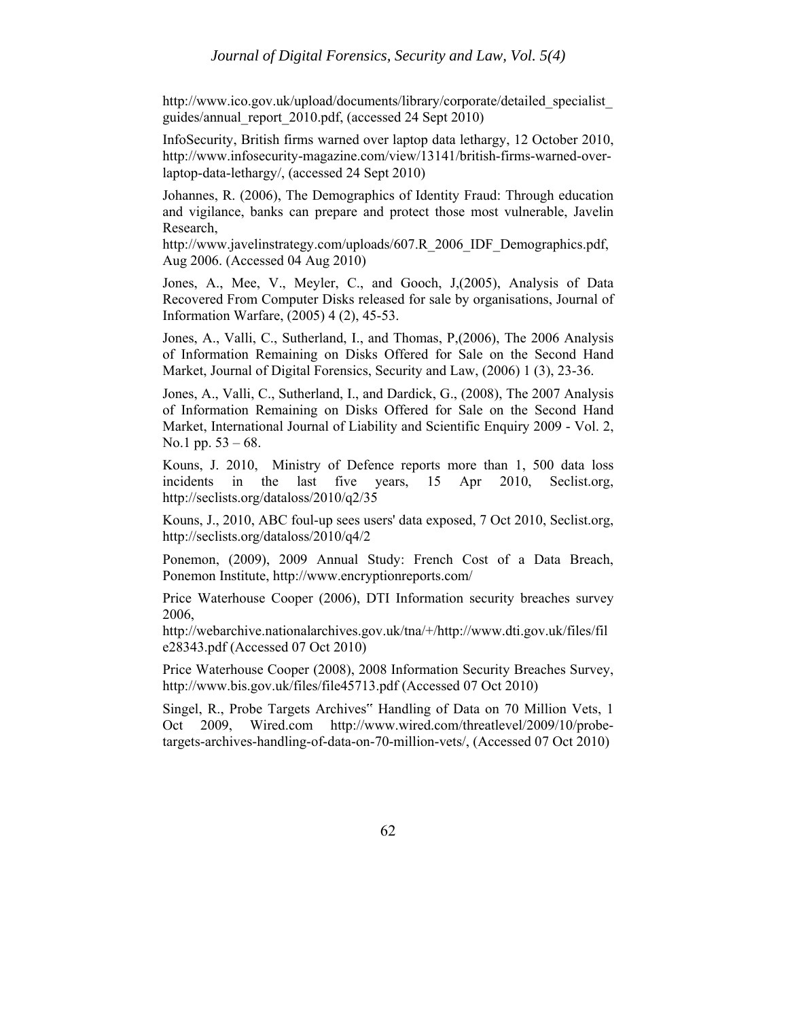http://www.ico.gov.uk/upload/documents/library/corporate/detailed\_specialist\_ guides/annual\_report\_2010.pdf, (accessed 24 Sept 2010)

InfoSecurity, British firms warned over laptop data lethargy, 12 October 2010, http://www.infosecurity-magazine.com/view/13141/british-firms-warned-overlaptop-data-lethargy/, (accessed 24 Sept 2010)

Johannes, R. (2006), The Demographics of Identity Fraud: Through education and vigilance, banks can prepare and protect those most vulnerable, Javelin Research,

http://www.javelinstrategy.com/uploads/607.R\_2006\_IDF\_Demographics.pdf, Aug 2006. (Accessed 04 Aug 2010)

Jones, A., Mee, V., Meyler, C., and Gooch, J,(2005), Analysis of Data Recovered From Computer Disks released for sale by organisations, Journal of Information Warfare, (2005) 4 (2), 45-53.

Jones, A., Valli, C., Sutherland, I., and Thomas, P,(2006), The 2006 Analysis of Information Remaining on Disks Offered for Sale on the Second Hand Market, Journal of Digital Forensics, Security and Law, (2006) 1 (3), 23-36.

Jones, A., Valli, C., Sutherland, I., and Dardick, G., (2008), The 2007 Analysis of Information Remaining on Disks Offered for Sale on the Second Hand Market, International Journal of Liability and Scientific Enquiry 2009 - Vol. 2, No.1 pp. 53 – 68.

Kouns, J. 2010, Ministry of Defence reports more than 1, 500 data loss incidents in the last five years, 15 Apr 2010, Seclist.org, http://seclists.org/dataloss/2010/q2/35

Kouns, J., 2010, ABC foul-up sees users' data exposed, 7 Oct 2010, Seclist.org, http://seclists.org/dataloss/2010/q4/2

Ponemon, (2009), 2009 Annual Study: French Cost of a Data Breach, Ponemon Institute, http://www.encryptionreports.com/

Price Waterhouse Cooper (2006), DTI Information security breaches survey 2006,

http://webarchive.nationalarchives.gov.uk/tna/+/http://www.dti.gov.uk/files/fil e28343.pdf (Accessed 07 Oct 2010)

Price Waterhouse Cooper (2008), 2008 Information Security Breaches Survey, http://www.bis.gov.uk/files/file45713.pdf (Accessed 07 Oct 2010)

Singel, R., Probe Targets Archives" Handling of Data on 70 Million Vets, 1 Oct 2009, Wired.com http://www.wired.com/threatlevel/2009/10/probetargets-archives-handling-of-data-on-70-million-vets/, (Accessed 07 Oct 2010)